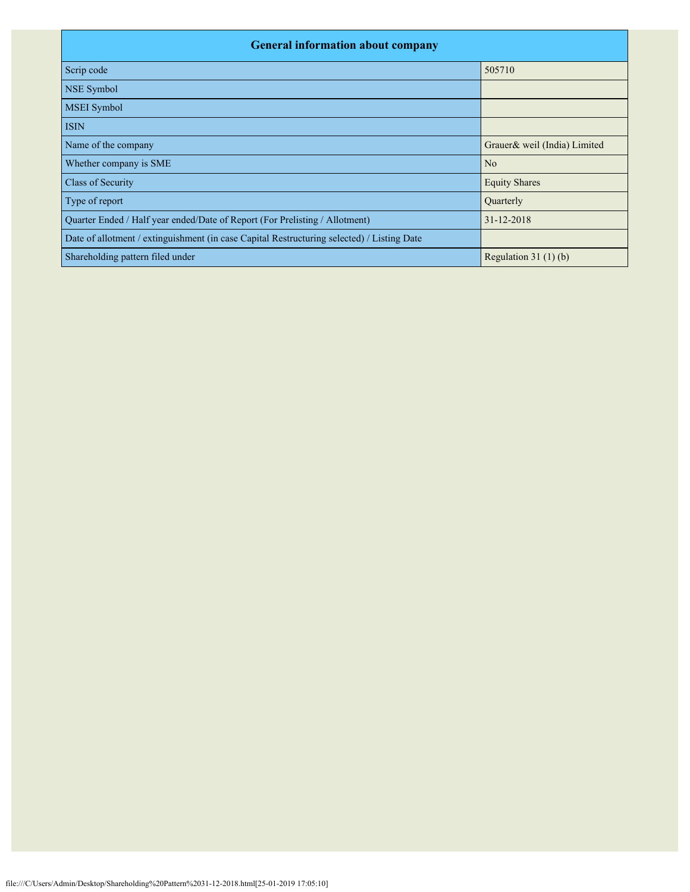| <b>General information about company</b>                                                   |                              |  |  |  |  |  |  |  |
|--------------------------------------------------------------------------------------------|------------------------------|--|--|--|--|--|--|--|
| Scrip code                                                                                 | 505710                       |  |  |  |  |  |  |  |
| NSE Symbol                                                                                 |                              |  |  |  |  |  |  |  |
| MSEI Symbol                                                                                |                              |  |  |  |  |  |  |  |
| <b>ISIN</b>                                                                                |                              |  |  |  |  |  |  |  |
| Name of the company                                                                        | Grauer& weil (India) Limited |  |  |  |  |  |  |  |
| Whether company is SME                                                                     | N <sub>o</sub>               |  |  |  |  |  |  |  |
| Class of Security                                                                          | <b>Equity Shares</b>         |  |  |  |  |  |  |  |
| Type of report                                                                             | Quarterly                    |  |  |  |  |  |  |  |
| Quarter Ended / Half year ended/Date of Report (For Prelisting / Allotment)                | 31-12-2018                   |  |  |  |  |  |  |  |
| Date of allotment / extinguishment (in case Capital Restructuring selected) / Listing Date |                              |  |  |  |  |  |  |  |
| Shareholding pattern filed under                                                           | Regulation $31(1)(b)$        |  |  |  |  |  |  |  |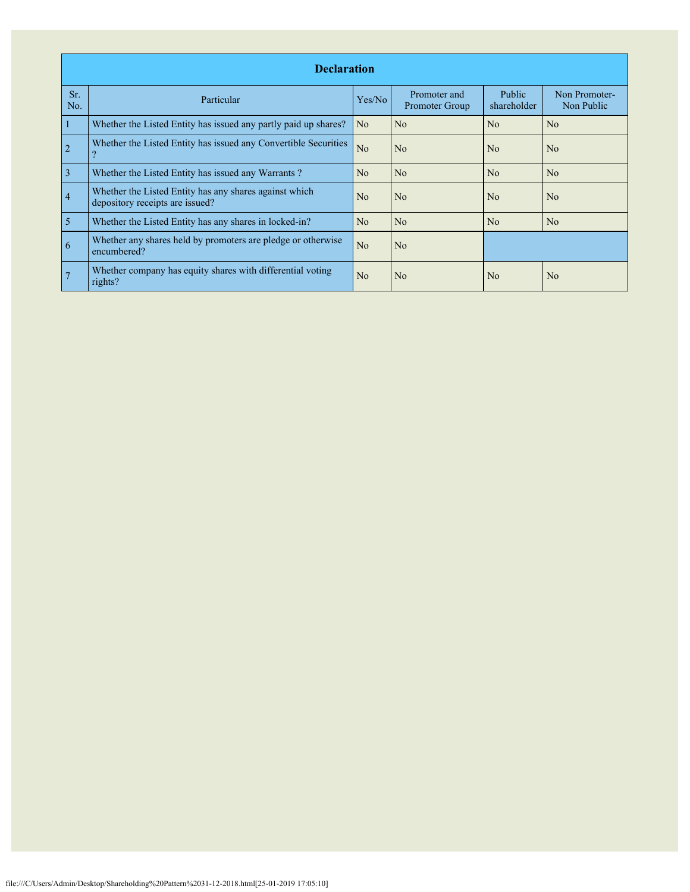|                | <b>Declaration</b>                                                                        |                |                                |                       |                             |  |  |  |  |  |  |
|----------------|-------------------------------------------------------------------------------------------|----------------|--------------------------------|-----------------------|-----------------------------|--|--|--|--|--|--|
| Sr.<br>No.     | Particular                                                                                | Yes/No         | Promoter and<br>Promoter Group | Public<br>shareholder | Non Promoter-<br>Non Public |  |  |  |  |  |  |
| 1              | Whether the Listed Entity has issued any partly paid up shares?                           | N <sub>o</sub> | No                             | No                    | No                          |  |  |  |  |  |  |
| $\overline{2}$ | Whether the Listed Entity has issued any Convertible Securities<br>9                      | N <sub>o</sub> | N <sub>o</sub>                 | No                    | N <sub>o</sub>              |  |  |  |  |  |  |
| $\overline{3}$ | Whether the Listed Entity has issued any Warrants?                                        | N <sub>o</sub> | N <sub>o</sub>                 | N <sub>o</sub>        | N <sub>o</sub>              |  |  |  |  |  |  |
| $\overline{4}$ | Whether the Listed Entity has any shares against which<br>depository receipts are issued? | N <sub>0</sub> | No                             | N <sub>0</sub>        | N <sub>0</sub>              |  |  |  |  |  |  |
| $\overline{5}$ | Whether the Listed Entity has any shares in locked-in?                                    | N <sub>o</sub> | N <sub>o</sub>                 | No                    | N <sub>o</sub>              |  |  |  |  |  |  |
| 6              | Whether any shares held by promoters are pledge or otherwise<br>encumbered?               | N <sub>o</sub> | N <sub>o</sub>                 |                       |                             |  |  |  |  |  |  |
|                | Whether company has equity shares with differential voting<br>rights?                     | N <sub>o</sub> | No                             | N <sub>0</sub>        | N <sub>o</sub>              |  |  |  |  |  |  |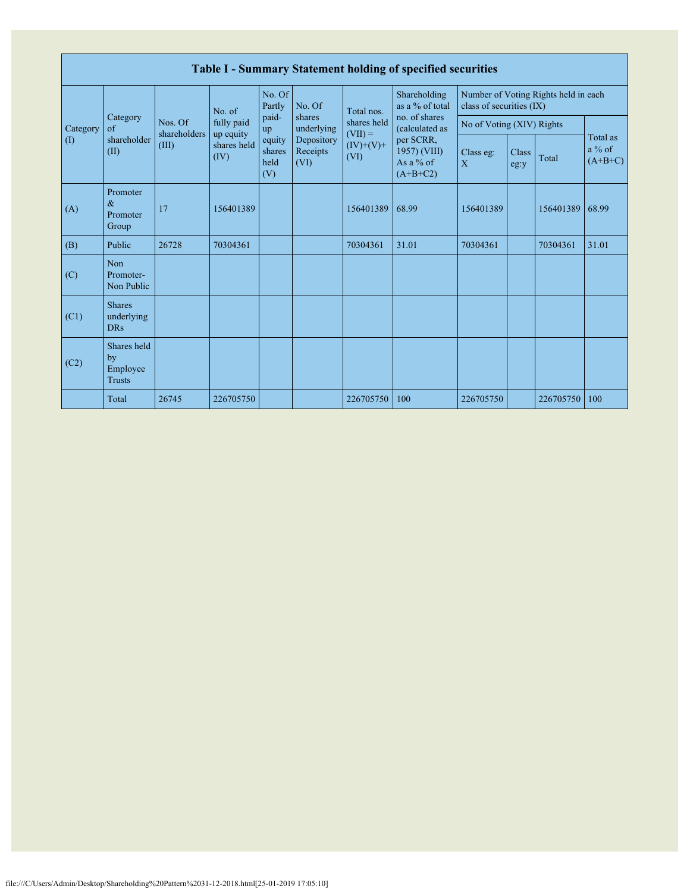|          | Table I - Summary Statement holding of specified securities |                                  |                                  |                                 |                                                                  |                                                 |                                                        |                                                                  |               |           |                                   |  |  |  |
|----------|-------------------------------------------------------------|----------------------------------|----------------------------------|---------------------------------|------------------------------------------------------------------|-------------------------------------------------|--------------------------------------------------------|------------------------------------------------------------------|---------------|-----------|-----------------------------------|--|--|--|
|          | Category<br>of<br>shareholder<br>(II)                       | Nos. Of<br>shareholders<br>(III) | No. of                           | No. Of<br>Partly                | No. Of<br>shares<br>underlying<br>Depository<br>Receipts<br>(VI) | Total nos.                                      | Shareholding<br>as a % of total                        | Number of Voting Rights held in each<br>class of securities (IX) |               |           |                                   |  |  |  |
| Category |                                                             |                                  | fully paid                       | paid-<br>up                     |                                                                  | shares held<br>$(VII) =$<br>$(IV)+(V)+$<br>(VI) | no. of shares<br>(calculated as                        | No of Voting (XIV) Rights                                        |               |           |                                   |  |  |  |
| (I)      |                                                             |                                  | up equity<br>shares held<br>(IV) | equity<br>shares<br>held<br>(V) |                                                                  |                                                 | per SCRR,<br>1957) (VIII)<br>As a $%$ of<br>$(A+B+C2)$ | Class eg:<br>X                                                   | Class<br>eg:y | Total     | Total as<br>$a\%$ of<br>$(A+B+C)$ |  |  |  |
| (A)      | Promoter<br>$\&$<br>Promoter<br>Group                       | 17                               | 156401389                        |                                 |                                                                  | 156401389                                       | 68.99                                                  | 156401389                                                        |               | 156401389 | 68.99                             |  |  |  |
| (B)      | Public                                                      | 26728                            | 70304361                         |                                 |                                                                  | 70304361                                        | 31.01                                                  | 70304361                                                         |               | 70304361  | 31.01                             |  |  |  |
| (C)      | Non<br>Promoter-<br>Non Public                              |                                  |                                  |                                 |                                                                  |                                                 |                                                        |                                                                  |               |           |                                   |  |  |  |
| (C1)     | <b>Shares</b><br>underlying<br><b>DRs</b>                   |                                  |                                  |                                 |                                                                  |                                                 |                                                        |                                                                  |               |           |                                   |  |  |  |
| (C2)     | Shares held<br>by<br>Employee<br><b>Trusts</b>              |                                  |                                  |                                 |                                                                  |                                                 |                                                        |                                                                  |               |           |                                   |  |  |  |
|          | Total                                                       | 26745                            | 226705750                        |                                 |                                                                  | 226705750                                       | 100                                                    | 226705750                                                        |               | 226705750 | 100                               |  |  |  |

Г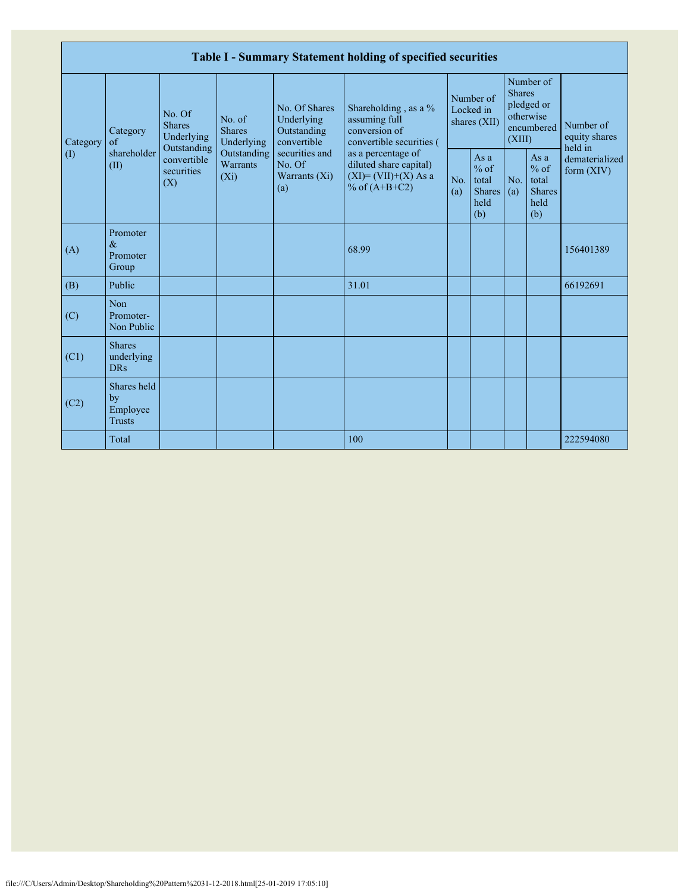|                 |                                                |                                                      |                                       |                                                           | Table I - Summary Statement holding of specified securities                              |            |                                                         |                         |                                                         |                                       |
|-----------------|------------------------------------------------|------------------------------------------------------|---------------------------------------|-----------------------------------------------------------|------------------------------------------------------------------------------------------|------------|---------------------------------------------------------|-------------------------|---------------------------------------------------------|---------------------------------------|
| Category<br>(1) | Category<br>of<br>shareholder<br>(II)          | No. Of<br><b>Shares</b><br>Underlying<br>Outstanding | No. of<br><b>Shares</b><br>Underlying | No. Of Shares<br>Underlying<br>Outstanding<br>convertible | Shareholding, as a %<br>assuming full<br>conversion of<br>convertible securities (       |            | Number of<br>Locked in<br>shares (XII)                  | <b>Shares</b><br>(XIII) | Number of<br>pledged or<br>otherwise<br>encumbered      | Number of<br>equity shares<br>held in |
|                 |                                                | convertible<br>securities<br>(X)                     | Outstanding<br>Warrants<br>$(X_i)$    | securities and<br>No. Of<br>Warrants $(X_i)$<br>(a)       | as a percentage of<br>diluted share capital)<br>$(XI)=(VII)+(X) As a$<br>% of $(A+B+C2)$ | No.<br>(a) | As a<br>$%$ of<br>total<br><b>Shares</b><br>held<br>(b) | No.<br>(a)              | As a<br>$%$ of<br>total<br><b>Shares</b><br>held<br>(b) | dematerialized<br>form $(XIV)$        |
| (A)             | Promoter<br>$\&$<br>Promoter<br>Group          |                                                      |                                       |                                                           | 68.99                                                                                    |            |                                                         |                         |                                                         | 156401389                             |
| (B)             | Public                                         |                                                      |                                       |                                                           | 31.01                                                                                    |            |                                                         |                         |                                                         | 66192691                              |
| (C)             | Non<br>Promoter-<br>Non Public                 |                                                      |                                       |                                                           |                                                                                          |            |                                                         |                         |                                                         |                                       |
| (C1)            | <b>Shares</b><br>underlying<br><b>DRs</b>      |                                                      |                                       |                                                           |                                                                                          |            |                                                         |                         |                                                         |                                       |
| (C2)            | Shares held<br>by<br>Employee<br><b>Trusts</b> |                                                      |                                       |                                                           |                                                                                          |            |                                                         |                         |                                                         |                                       |
|                 | Total                                          |                                                      |                                       |                                                           | 100                                                                                      |            |                                                         |                         |                                                         | 222594080                             |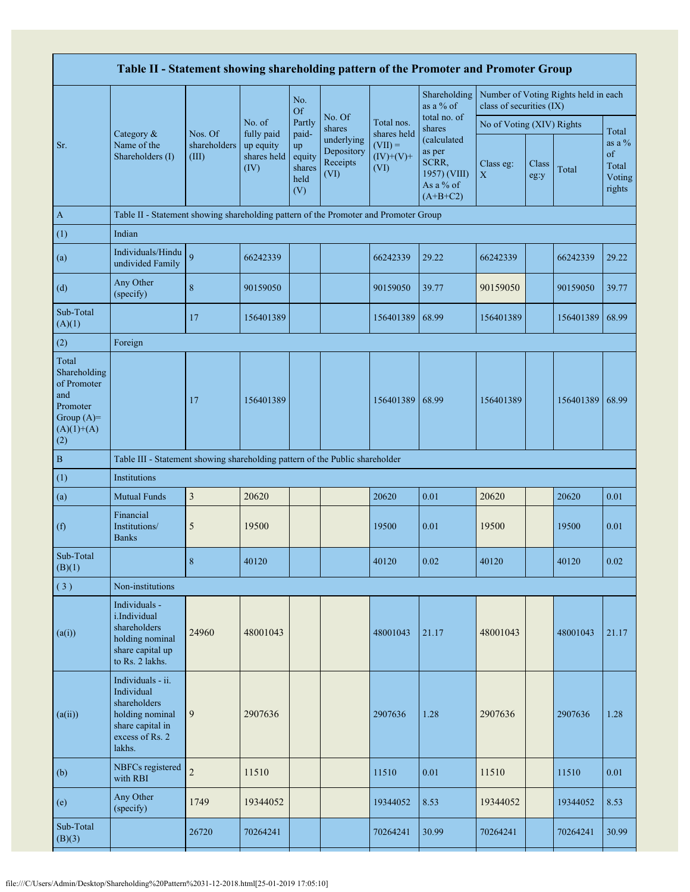| Table II - Statement showing shareholding pattern of the Promoter and Promoter Group           |                                                                                                                     |                                  |                                                          |                                                |                                              |                                                 |                                                                           |                           |               |                                      |                                             |
|------------------------------------------------------------------------------------------------|---------------------------------------------------------------------------------------------------------------------|----------------------------------|----------------------------------------------------------|------------------------------------------------|----------------------------------------------|-------------------------------------------------|---------------------------------------------------------------------------|---------------------------|---------------|--------------------------------------|---------------------------------------------|
|                                                                                                |                                                                                                                     |                                  |                                                          | No.<br><b>Of</b>                               |                                              |                                                 | Shareholding<br>as a % of                                                 | class of securities (IX)  |               | Number of Voting Rights held in each |                                             |
|                                                                                                | Category &<br>Name of the<br>Shareholders (I)                                                                       |                                  | No. of<br>fully paid<br>up equity<br>shares held<br>(IV) | Partly                                         | No. Of<br>shares                             | Total nos.                                      | total no. of<br>shares                                                    | No of Voting (XIV) Rights |               |                                      | Total                                       |
| Sr.                                                                                            |                                                                                                                     | Nos. Of<br>shareholders<br>(III) |                                                          | paid-<br>up<br>equity<br>shares<br>held<br>(V) | underlying<br>Depository<br>Receipts<br>(VI) | shares held<br>$(VII) =$<br>$(IV)+(V)+$<br>(VI) | (calculated<br>as per<br>SCRR,<br>1957) (VIII)<br>As a % of<br>$(A+B+C2)$ | Class eg:<br>$\mathbf X$  | Class<br>eg:y | Total                                | as a $%$<br>of<br>Total<br>Voting<br>rights |
| $\mathbf{A}$                                                                                   | Table II - Statement showing shareholding pattern of the Promoter and Promoter Group                                |                                  |                                                          |                                                |                                              |                                                 |                                                                           |                           |               |                                      |                                             |
| (1)                                                                                            | Indian                                                                                                              |                                  |                                                          |                                                |                                              |                                                 |                                                                           |                           |               |                                      |                                             |
| (a)                                                                                            | Individuals/Hindu<br>undivided Family                                                                               | 9                                | 66242339                                                 |                                                |                                              | 66242339                                        | 29.22                                                                     | 66242339                  |               | 66242339                             | 29.22                                       |
| (d)                                                                                            | Any Other<br>(specify)                                                                                              | 8                                | 90159050                                                 |                                                |                                              | 90159050                                        | 39.77                                                                     | 90159050                  |               | 90159050                             | 39.77                                       |
| Sub-Total<br>(A)(1)                                                                            |                                                                                                                     | 17                               | 156401389                                                |                                                |                                              | 156401389                                       | 68.99                                                                     | 156401389                 |               | 156401389 68.99                      |                                             |
| (2)                                                                                            | Foreign                                                                                                             |                                  |                                                          |                                                |                                              |                                                 |                                                                           |                           |               |                                      |                                             |
| Total<br>Shareholding<br>of Promoter<br>and<br>Promoter<br>Group $(A)=$<br>$(A)(1)+(A)$<br>(2) |                                                                                                                     | 17                               | 156401389                                                |                                                |                                              | 156401389                                       | 68.99                                                                     | 156401389                 |               | 156401389 68.99                      |                                             |
| $\, {\bf B}$                                                                                   | Table III - Statement showing shareholding pattern of the Public shareholder                                        |                                  |                                                          |                                                |                                              |                                                 |                                                                           |                           |               |                                      |                                             |
| (1)                                                                                            | Institutions                                                                                                        |                                  |                                                          |                                                |                                              |                                                 |                                                                           |                           |               |                                      |                                             |
| (a)                                                                                            | <b>Mutual Funds</b>                                                                                                 | $\mathfrak{Z}$                   | 20620                                                    |                                                |                                              | 20620                                           | 0.01                                                                      | 20620                     |               | 20620                                | 0.01                                        |
| (f)                                                                                            | Financial<br>Institutions/<br><b>Banks</b>                                                                          | 5                                | 19500                                                    |                                                |                                              | 19500                                           | 0.01                                                                      | 19500                     |               | 19500                                | 0.01                                        |
| Sub-Total<br>(B)(1)                                                                            |                                                                                                                     | 8                                | 40120                                                    |                                                |                                              | 40120                                           | 0.02                                                                      | 40120                     |               | 40120                                | 0.02                                        |
| (3)                                                                                            | Non-institutions                                                                                                    |                                  |                                                          |                                                |                                              |                                                 |                                                                           |                           |               |                                      |                                             |
| (a(i))                                                                                         | Individuals -<br>i.Individual<br>shareholders<br>holding nominal<br>share capital up<br>to Rs. 2 lakhs.             | 24960                            | 48001043                                                 |                                                |                                              | 48001043                                        | 21.17                                                                     | 48001043                  |               | 48001043                             | 21.17                                       |
| (a(ii))                                                                                        | Individuals - ii.<br>Individual<br>shareholders<br>holding nominal<br>share capital in<br>excess of Rs. 2<br>lakhs. | 9                                | 2907636                                                  |                                                |                                              | 2907636                                         | 1.28                                                                      | 2907636                   |               | 2907636                              | 1.28                                        |
| (b)                                                                                            | NBFCs registered<br>with RBI                                                                                        | $\overline{c}$                   | 11510                                                    |                                                |                                              | 11510                                           | $0.01\,$                                                                  | 11510                     |               | 11510                                | 0.01                                        |
| (e)                                                                                            | Any Other<br>(specify)                                                                                              | 1749                             | 19344052                                                 |                                                |                                              | 19344052                                        | 8.53                                                                      | 19344052                  |               | 19344052                             | 8.53                                        |
| Sub-Total<br>(B)(3)                                                                            |                                                                                                                     | 26720                            | 70264241                                                 |                                                |                                              | 70264241                                        | 30.99                                                                     | 70264241                  |               | 70264241                             | 30.99                                       |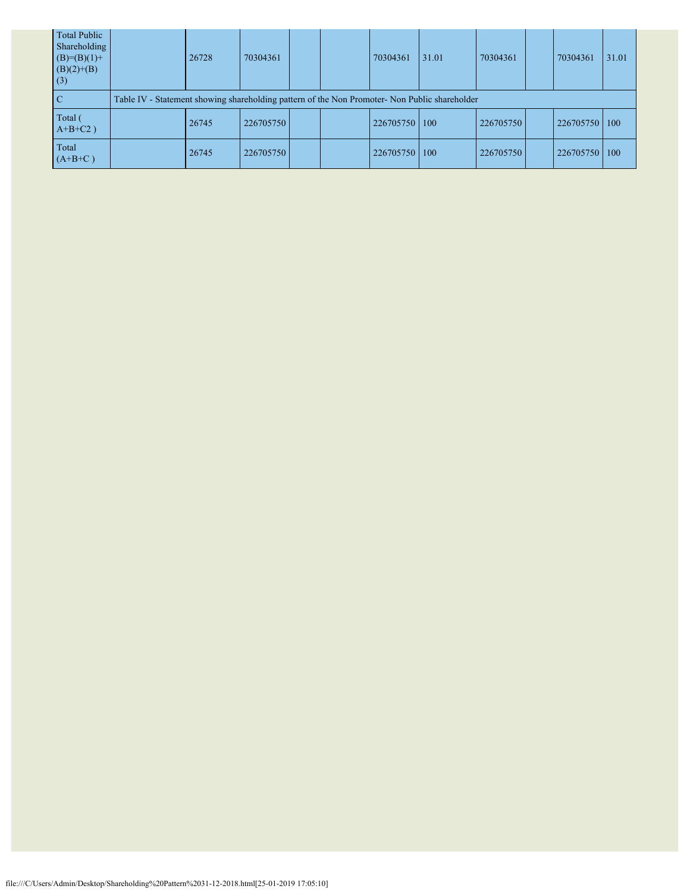| <b>Total Public</b><br>Shareholding<br>$(B)=(B)(1)+$<br>$(B)(2)+(B)$<br>(3) | 26728                                                                                         | 70304361  |  |  | 70304361  | 31.01 | 70304361  |  | 70304361  | 31.01 |  |
|-----------------------------------------------------------------------------|-----------------------------------------------------------------------------------------------|-----------|--|--|-----------|-------|-----------|--|-----------|-------|--|
| <sup>-</sup> C                                                              | Table IV - Statement showing shareholding pattern of the Non Promoter- Non Public shareholder |           |  |  |           |       |           |  |           |       |  |
| Total (<br>$A+B+C2$ )                                                       | 26745                                                                                         | 226705750 |  |  | 226705750 | 100   | 226705750 |  | 226705750 | 100   |  |
| Total<br>$(A+B+C)$                                                          | 26745                                                                                         | 226705750 |  |  | 226705750 | 100   | 226705750 |  | 226705750 | 100   |  |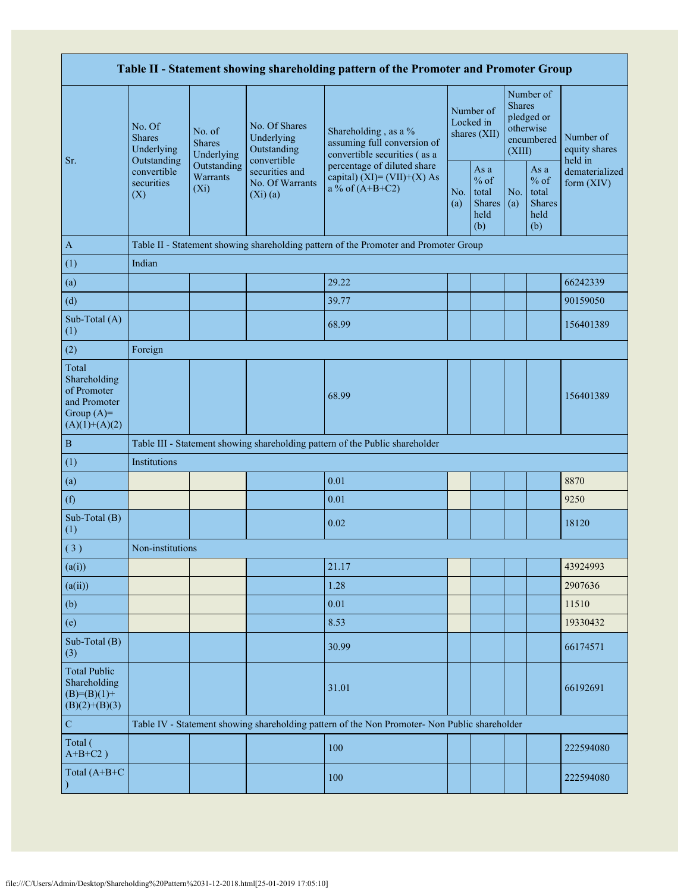| Table II - Statement showing shareholding pattern of the Promoter and Promoter Group    |                                                 |                                                                                                   |                                            |                                                                                               |                                        |                                                  |                                                                               |                                                         |                                       |  |  |
|-----------------------------------------------------------------------------------------|-------------------------------------------------|---------------------------------------------------------------------------------------------------|--------------------------------------------|-----------------------------------------------------------------------------------------------|----------------------------------------|--------------------------------------------------|-------------------------------------------------------------------------------|---------------------------------------------------------|---------------------------------------|--|--|
|                                                                                         | No. Of<br><b>Shares</b><br>Underlying           | No. of<br><b>Shares</b><br>Underlying                                                             | No. Of Shares<br>Underlying<br>Outstanding | Shareholding, as a %<br>assuming full conversion of<br>convertible securities (as a           | Number of<br>Locked in<br>shares (XII) |                                                  | Number of<br><b>Shares</b><br>pledged or<br>otherwise<br>encumbered<br>(XIII) |                                                         | Number of<br>equity shares<br>held in |  |  |
| Sr.                                                                                     | Outstanding<br>convertible<br>securities<br>(X) | convertible<br>Outstanding<br>securities and<br>Warrants<br>No. Of Warrants<br>$(X_i)$<br>(Xi)(a) |                                            | percentage of diluted share<br>capital) $(XI) = (VII)+(X) As$<br>a % of $(A+B+C2)$<br>(a)     |                                        | As a<br>$%$ of<br>total<br>Shares<br>held<br>(b) | No.<br>(a)                                                                    | As a<br>$%$ of<br>total<br><b>Shares</b><br>held<br>(b) | dematerialized<br>form (XIV)          |  |  |
| $\mathbf{A}$                                                                            |                                                 |                                                                                                   |                                            | Table II - Statement showing shareholding pattern of the Promoter and Promoter Group          |                                        |                                                  |                                                                               |                                                         |                                       |  |  |
| (1)                                                                                     | Indian                                          |                                                                                                   |                                            |                                                                                               |                                        |                                                  |                                                                               |                                                         |                                       |  |  |
| (a)                                                                                     |                                                 |                                                                                                   |                                            | 29.22                                                                                         |                                        |                                                  |                                                                               |                                                         | 66242339                              |  |  |
| (d)                                                                                     |                                                 |                                                                                                   |                                            | 39.77                                                                                         |                                        |                                                  |                                                                               |                                                         | 90159050                              |  |  |
| Sub-Total (A)<br>(1)                                                                    |                                                 |                                                                                                   |                                            | 68.99                                                                                         |                                        |                                                  |                                                                               |                                                         | 156401389                             |  |  |
| (2)                                                                                     | Foreign                                         |                                                                                                   |                                            |                                                                                               |                                        |                                                  |                                                                               |                                                         |                                       |  |  |
| Total<br>Shareholding<br>of Promoter<br>and Promoter<br>Group $(A)=$<br>$(A)(1)+(A)(2)$ |                                                 |                                                                                                   |                                            | 68.99                                                                                         |                                        |                                                  |                                                                               |                                                         | 156401389                             |  |  |
| $\, {\bf B}$                                                                            |                                                 |                                                                                                   |                                            | Table III - Statement showing shareholding pattern of the Public shareholder                  |                                        |                                                  |                                                                               |                                                         |                                       |  |  |
| (1)                                                                                     | Institutions                                    |                                                                                                   |                                            |                                                                                               |                                        |                                                  |                                                                               |                                                         |                                       |  |  |
| (a)                                                                                     |                                                 |                                                                                                   |                                            | 0.01                                                                                          |                                        |                                                  |                                                                               |                                                         | 8870                                  |  |  |
| (f)                                                                                     |                                                 |                                                                                                   |                                            | 0.01                                                                                          |                                        |                                                  |                                                                               |                                                         | 9250                                  |  |  |
| Sub-Total (B)<br>(1)                                                                    |                                                 |                                                                                                   |                                            | 0.02                                                                                          |                                        |                                                  |                                                                               |                                                         | 18120                                 |  |  |
| (3)                                                                                     | Non-institutions                                |                                                                                                   |                                            |                                                                                               |                                        |                                                  |                                                                               |                                                         |                                       |  |  |
| (a(i))                                                                                  |                                                 |                                                                                                   |                                            | 21.17                                                                                         |                                        |                                                  |                                                                               |                                                         | 43924993                              |  |  |
| (a(ii))                                                                                 |                                                 |                                                                                                   |                                            | 1.28                                                                                          |                                        |                                                  |                                                                               |                                                         | 2907636                               |  |  |
| (b)                                                                                     |                                                 |                                                                                                   |                                            | 0.01                                                                                          |                                        |                                                  |                                                                               |                                                         | 11510                                 |  |  |
| (e)                                                                                     |                                                 |                                                                                                   |                                            | 8.53                                                                                          |                                        |                                                  |                                                                               |                                                         | 19330432                              |  |  |
| Sub-Total (B)<br>(3)                                                                    |                                                 |                                                                                                   |                                            | 30.99                                                                                         |                                        |                                                  |                                                                               |                                                         | 66174571                              |  |  |
| <b>Total Public</b><br>Shareholding<br>$(B)= (B)(1) +$<br>$(B)(2)+(B)(3)$               |                                                 |                                                                                                   |                                            | 31.01                                                                                         |                                        |                                                  |                                                                               |                                                         | 66192691                              |  |  |
| ${\bf C}$                                                                               |                                                 |                                                                                                   |                                            | Table IV - Statement showing shareholding pattern of the Non Promoter- Non Public shareholder |                                        |                                                  |                                                                               |                                                         |                                       |  |  |
| Total (<br>$A+B+C2$ )                                                                   |                                                 |                                                                                                   |                                            | 100                                                                                           |                                        |                                                  |                                                                               |                                                         | 222594080                             |  |  |
| Total (A+B+C                                                                            |                                                 |                                                                                                   |                                            | 100                                                                                           |                                        |                                                  |                                                                               |                                                         | 222594080                             |  |  |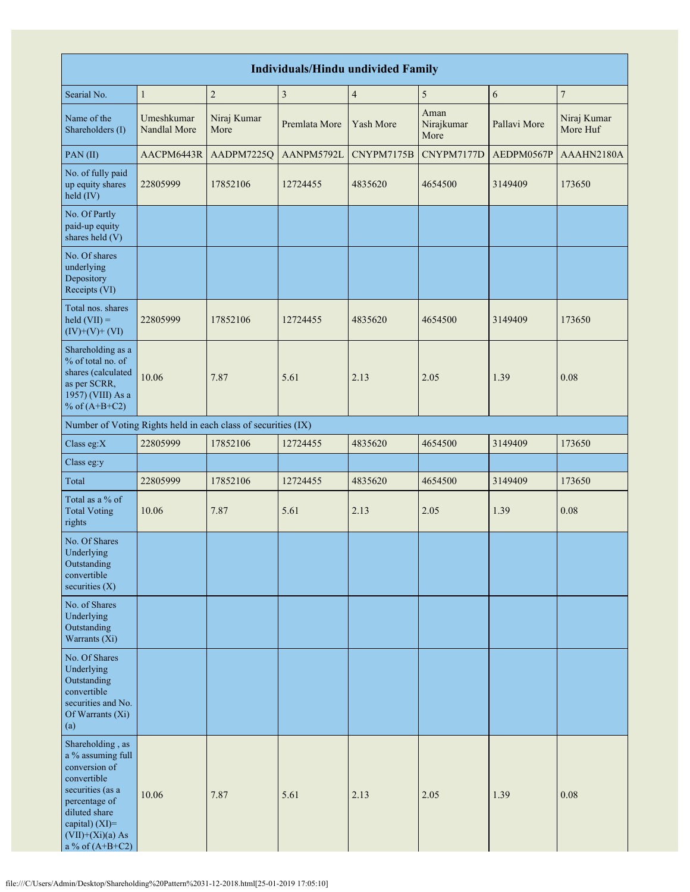| <b>Individuals/Hindu undivided Family</b>                                                                                                                                                |                            |                                                               |                         |                          |                            |              |                         |  |  |  |  |  |
|------------------------------------------------------------------------------------------------------------------------------------------------------------------------------------------|----------------------------|---------------------------------------------------------------|-------------------------|--------------------------|----------------------------|--------------|-------------------------|--|--|--|--|--|
| Searial No.                                                                                                                                                                              | $\mathbf{1}$               | $\sqrt{2}$                                                    | $\overline{\mathbf{3}}$ | $\overline{\mathcal{A}}$ | 5                          | 6            | 7                       |  |  |  |  |  |
| Name of the<br>Shareholders (I)                                                                                                                                                          | Umeshkumar<br>Nandlal More | Niraj Kumar<br>More                                           | Premlata More           | Yash More                | Aman<br>Nirajkumar<br>More | Pallavi More | Niraj Kumar<br>More Huf |  |  |  |  |  |
| PAN(II)                                                                                                                                                                                  | AACPM6443R                 | AADPM7225Q                                                    | AANPM5792L              | CNYPM7175B               | CNYPM7177D                 | AEDPM0567P   | AAAHN2180A              |  |  |  |  |  |
| No. of fully paid<br>up equity shares<br>held (IV)                                                                                                                                       | 22805999                   | 17852106                                                      | 12724455                | 4835620                  | 4654500                    | 3149409      | 173650                  |  |  |  |  |  |
| No. Of Partly<br>paid-up equity<br>shares held (V)                                                                                                                                       |                            |                                                               |                         |                          |                            |              |                         |  |  |  |  |  |
| No. Of shares<br>underlying<br>Depository<br>Receipts (VI)                                                                                                                               |                            |                                                               |                         |                          |                            |              |                         |  |  |  |  |  |
| Total nos. shares<br>$\text{held (VII)} =$<br>$(IV)+(V)+(VI)$                                                                                                                            | 22805999                   | 17852106                                                      | 12724455                | 4835620                  | 4654500                    | 3149409      | 173650                  |  |  |  |  |  |
| Shareholding as a<br>% of total no. of<br>shares (calculated<br>as per SCRR,<br>1957) (VIII) As a<br>% of $(A+B+C2)$                                                                     | 10.06                      | 7.87                                                          | 5.61                    | 2.13                     | 2.05                       | 1.39         | 0.08                    |  |  |  |  |  |
|                                                                                                                                                                                          |                            | Number of Voting Rights held in each class of securities (IX) |                         |                          |                            |              |                         |  |  |  |  |  |
| Class eg: $X$                                                                                                                                                                            | 22805999                   | 17852106                                                      | 12724455                | 4835620                  | 4654500                    | 3149409      | 173650                  |  |  |  |  |  |
| Class eg:y                                                                                                                                                                               |                            |                                                               |                         |                          |                            |              |                         |  |  |  |  |  |
| Total                                                                                                                                                                                    | 22805999                   | 17852106                                                      | 12724455                | 4835620                  | 4654500                    | 3149409      | 173650                  |  |  |  |  |  |
| Total as a % of<br><b>Total Voting</b><br>rights                                                                                                                                         | 10.06                      | 7.87                                                          | 5.61                    | 2.13                     | 2.05                       | 1.39         | 0.08                    |  |  |  |  |  |
| No. Of Shares<br>Underlying<br>Outstanding<br>convertible<br>securities $(X)$                                                                                                            |                            |                                                               |                         |                          |                            |              |                         |  |  |  |  |  |
| No. of Shares<br>Underlying<br>Outstanding<br>Warrants (Xi)                                                                                                                              |                            |                                                               |                         |                          |                            |              |                         |  |  |  |  |  |
| No. Of Shares<br>Underlying<br>Outstanding<br>convertible<br>securities and No.<br>Of Warrants (Xi)<br>(a)                                                                               |                            |                                                               |                         |                          |                            |              |                         |  |  |  |  |  |
| Shareholding, as<br>a % assuming full<br>conversion of<br>convertible<br>securities (as a<br>percentage of<br>diluted share<br>capital) (XI)=<br>$(VII)+(Xi)(a)$ As<br>a % of $(A+B+C2)$ | 10.06                      | 7.87                                                          | 5.61                    | 2.13                     | 2.05                       | 1.39         | 0.08                    |  |  |  |  |  |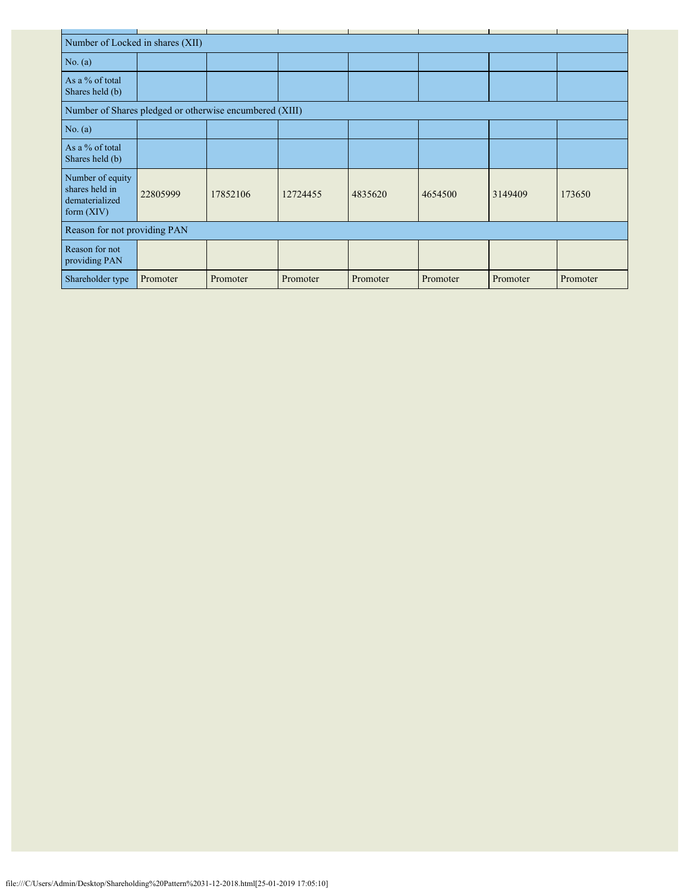| Number of Locked in shares (XII)                                     |                              |          |          |          |          |          |          |  |  |  |  |
|----------------------------------------------------------------------|------------------------------|----------|----------|----------|----------|----------|----------|--|--|--|--|
| No. (a)                                                              |                              |          |          |          |          |          |          |  |  |  |  |
| As a % of total<br>Shares held (b)                                   |                              |          |          |          |          |          |          |  |  |  |  |
| Number of Shares pledged or otherwise encumbered (XIII)              |                              |          |          |          |          |          |          |  |  |  |  |
| No. $(a)$                                                            |                              |          |          |          |          |          |          |  |  |  |  |
| As a % of total<br>Shares held (b)                                   |                              |          |          |          |          |          |          |  |  |  |  |
| Number of equity<br>shares held in<br>dematerialized<br>form $(XIV)$ | 22805999                     | 17852106 | 12724455 | 4835620  | 4654500  | 3149409  | 173650   |  |  |  |  |
|                                                                      | Reason for not providing PAN |          |          |          |          |          |          |  |  |  |  |
| Reason for not<br>providing PAN                                      |                              |          |          |          |          |          |          |  |  |  |  |
| Shareholder type                                                     | Promoter                     | Promoter | Promoter | Promoter | Promoter | Promoter | Promoter |  |  |  |  |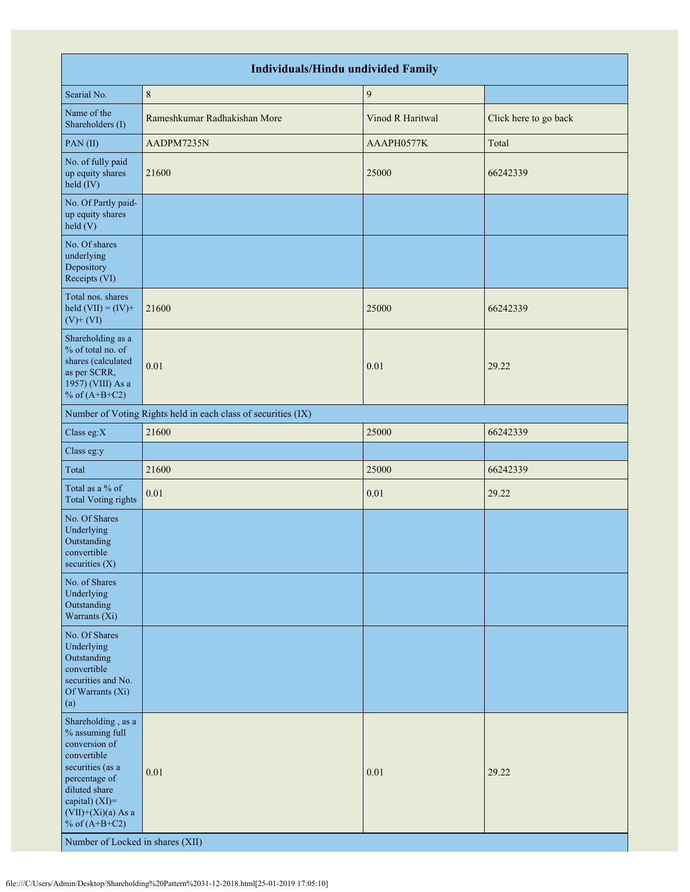| <b>Individuals/Hindu undivided Family</b>                                                                                                                                                                                    |                                                               |                  |                       |  |  |  |  |  |  |  |
|------------------------------------------------------------------------------------------------------------------------------------------------------------------------------------------------------------------------------|---------------------------------------------------------------|------------------|-----------------------|--|--|--|--|--|--|--|
| Searial No.                                                                                                                                                                                                                  | $\,$ 8 $\,$                                                   | $\boldsymbol{9}$ |                       |  |  |  |  |  |  |  |
| Name of the<br>Shareholders (I)                                                                                                                                                                                              | Rameshkumar Radhakishan More                                  | Vinod R Haritwal | Click here to go back |  |  |  |  |  |  |  |
| PAN(II)                                                                                                                                                                                                                      | AADPM7235N                                                    | AAAPH0577K       | Total                 |  |  |  |  |  |  |  |
| No. of fully paid<br>up equity shares<br>held (IV)                                                                                                                                                                           | 21600                                                         | 25000            | 66242339              |  |  |  |  |  |  |  |
| No. Of Partly paid-<br>up equity shares<br>held(V)                                                                                                                                                                           |                                                               |                  |                       |  |  |  |  |  |  |  |
| No. Of shares<br>underlying<br>Depository<br>Receipts (VI)                                                                                                                                                                   |                                                               |                  |                       |  |  |  |  |  |  |  |
| Total nos. shares<br>held $(VII) = (IV) +$<br>$(V)$ + $(VI)$                                                                                                                                                                 | 21600                                                         | 25000            | 66242339              |  |  |  |  |  |  |  |
| Shareholding as a<br>% of total no. of<br>shares (calculated<br>as per SCRR,<br>1957) (VIII) As a<br>% of $(A+B+C2)$                                                                                                         | 0.01                                                          | 0.01             | 29.22                 |  |  |  |  |  |  |  |
|                                                                                                                                                                                                                              | Number of Voting Rights held in each class of securities (IX) |                  |                       |  |  |  |  |  |  |  |
| Class eg: $X$                                                                                                                                                                                                                | 21600                                                         | 25000            | 66242339              |  |  |  |  |  |  |  |
| Class eg:y                                                                                                                                                                                                                   |                                                               |                  |                       |  |  |  |  |  |  |  |
| Total                                                                                                                                                                                                                        | 21600                                                         | 25000            | 66242339              |  |  |  |  |  |  |  |
| Total as a % of<br><b>Total Voting rights</b>                                                                                                                                                                                | 0.01                                                          | $0.01\,$         | 29.22                 |  |  |  |  |  |  |  |
| No. Of Shares<br>Underlying<br>Outstanding<br>convertible<br>securities $(X)$                                                                                                                                                |                                                               |                  |                       |  |  |  |  |  |  |  |
| No. of Shares<br>Underlying<br>Outstanding<br>Warrants (Xi)                                                                                                                                                                  |                                                               |                  |                       |  |  |  |  |  |  |  |
| No. Of Shares<br>Underlying<br>Outstanding<br>convertible<br>securities and No.<br>Of Warrants (Xi)<br>(a)                                                                                                                   |                                                               |                  |                       |  |  |  |  |  |  |  |
| Shareholding, as a<br>% assuming full<br>conversion of<br>convertible<br>securities (as a<br>percentage of<br>diluted share<br>capital) (XI)=<br>$(VII)+(Xi)(a)$ As a<br>% of $(A+B+C2)$<br>Number of Locked in shares (XII) | 0.01                                                          | 0.01             | 29.22                 |  |  |  |  |  |  |  |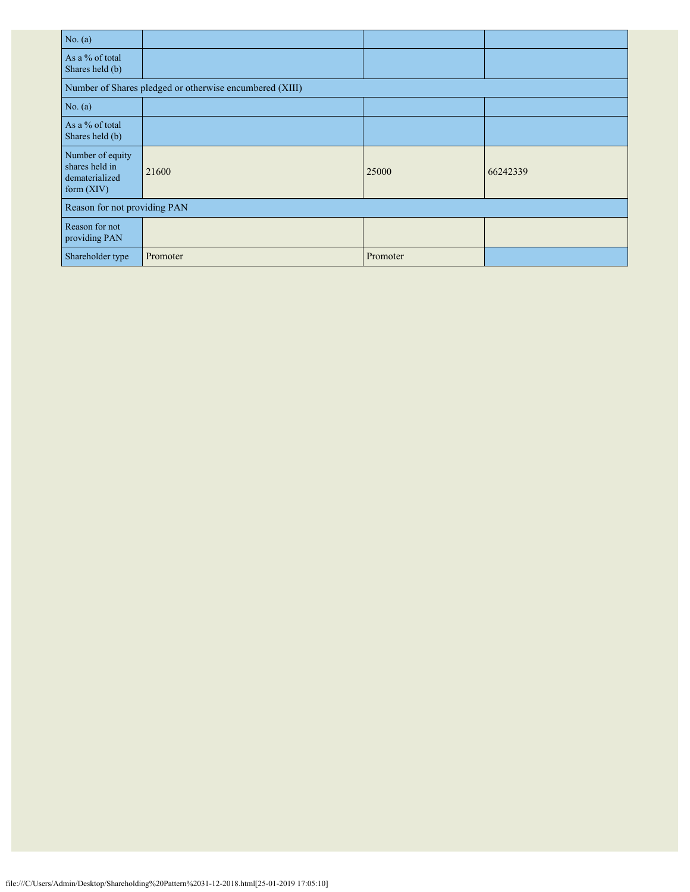| No. $(a)$                                                          |                                                         |          |          |
|--------------------------------------------------------------------|---------------------------------------------------------|----------|----------|
| As a % of total<br>Shares held (b)                                 |                                                         |          |          |
|                                                                    | Number of Shares pledged or otherwise encumbered (XIII) |          |          |
| No. $(a)$                                                          |                                                         |          |          |
| As a % of total<br>Shares held (b)                                 |                                                         |          |          |
| Number of equity<br>shares held in<br>dematerialized<br>form (XIV) | 21600                                                   | 25000    | 66242339 |
| Reason for not providing PAN                                       |                                                         |          |          |
| Reason for not<br>providing PAN                                    |                                                         |          |          |
| Shareholder type                                                   | Promoter                                                | Promoter |          |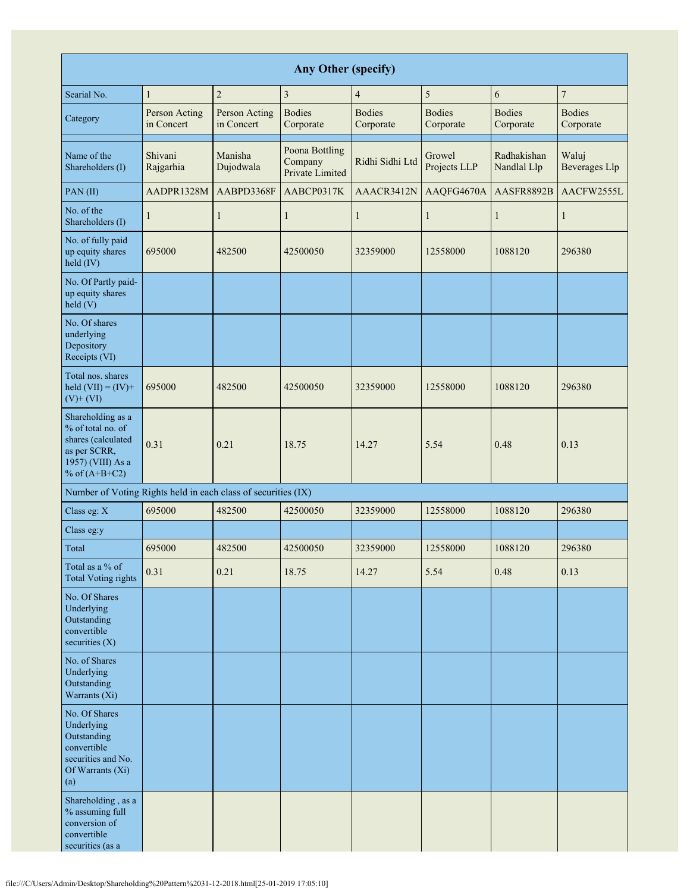| <b>Any Other (specify)</b>                                                                                           |                             |                             |                                              |                            |                            |                            |                               |  |  |  |  |
|----------------------------------------------------------------------------------------------------------------------|-----------------------------|-----------------------------|----------------------------------------------|----------------------------|----------------------------|----------------------------|-------------------------------|--|--|--|--|
| Searial No.                                                                                                          | $\mathbf{1}$                | $\overline{c}$              | $\overline{3}$                               | $\overline{4}$             | 5                          | 6                          | $\boldsymbol{7}$              |  |  |  |  |
| Category                                                                                                             | Person Acting<br>in Concert | Person Acting<br>in Concert | <b>Bodies</b><br>Corporate                   | <b>Bodies</b><br>Corporate | <b>Bodies</b><br>Corporate | <b>Bodies</b><br>Corporate | <b>Bodies</b><br>Corporate    |  |  |  |  |
| Name of the<br>Shareholders (I)                                                                                      | Shivani<br>Rajgarhia        | Manisha<br>Dujodwala        | Poona Bottling<br>Company<br>Private Limited | Ridhi Sidhi Ltd            | Growel<br>Projects LLP     | Radhakishan<br>Nandlal Llp | Waluj<br><b>Beverages Llp</b> |  |  |  |  |
| PAN(II)                                                                                                              | AADPR1328M                  | AABPD3368F                  | AABCP0317K                                   | AAACR3412N                 | AAQFG4670A                 | AASFR8892B                 | AACFW2555L                    |  |  |  |  |
| No. of the<br>Shareholders (I)                                                                                       | 1                           | $\mathbf{1}$                | $\mathbf{1}$                                 | $\mathbf{1}$               | $\mathbf{1}$               | $\mathbf{1}$               | $\mathbf{1}$                  |  |  |  |  |
| No. of fully paid<br>up equity shares<br>held (IV)                                                                   | 695000                      | 482500                      | 42500050                                     | 32359000                   | 12558000                   | 1088120                    | 296380                        |  |  |  |  |
| No. Of Partly paid-<br>up equity shares<br>held (V)                                                                  |                             |                             |                                              |                            |                            |                            |                               |  |  |  |  |
| No. Of shares<br>underlying<br>Depository<br>Receipts (VI)                                                           |                             |                             |                                              |                            |                            |                            |                               |  |  |  |  |
| Total nos. shares<br>held $(VII) = (IV) +$<br>$(V)$ + $(VI)$                                                         | 695000                      | 482500                      | 42500050                                     | 32359000                   | 12558000                   | 1088120                    | 296380                        |  |  |  |  |
| Shareholding as a<br>% of total no. of<br>shares (calculated<br>as per SCRR,<br>1957) (VIII) As a<br>% of $(A+B+C2)$ | 0.31                        | 0.21                        | 18.75                                        | 14.27                      | 5.54                       | 0.48                       | 0.13                          |  |  |  |  |
| Number of Voting Rights held in each class of securities (IX)                                                        |                             |                             |                                              |                            |                            |                            |                               |  |  |  |  |
| Class eg: X                                                                                                          | 695000                      | 482500                      | 42500050                                     | 32359000                   | 12558000                   | 1088120                    | 296380                        |  |  |  |  |
| Class eg:y                                                                                                           |                             |                             |                                              |                            |                            |                            |                               |  |  |  |  |
| Total                                                                                                                | 695000                      | 482500                      | 42500050                                     | 32359000                   | 12558000                   | 1088120                    | 296380                        |  |  |  |  |
| Total as a % of<br><b>Total Voting rights</b>                                                                        | 0.31                        | 0.21                        | 18.75                                        | 14.27                      | 5.54                       | 0.48                       | 0.13                          |  |  |  |  |
| No. Of Shares<br>Underlying<br>Outstanding<br>convertible<br>securities (X)                                          |                             |                             |                                              |                            |                            |                            |                               |  |  |  |  |
| No. of Shares<br>Underlying<br>Outstanding<br>Warrants (Xi)                                                          |                             |                             |                                              |                            |                            |                            |                               |  |  |  |  |
| No. Of Shares<br>Underlying<br>Outstanding<br>convertible<br>securities and No.<br>Of Warrants (Xi)<br>(a)           |                             |                             |                                              |                            |                            |                            |                               |  |  |  |  |
| Shareholding, as a<br>% assuming full<br>conversion of<br>convertible<br>securities (as a                            |                             |                             |                                              |                            |                            |                            |                               |  |  |  |  |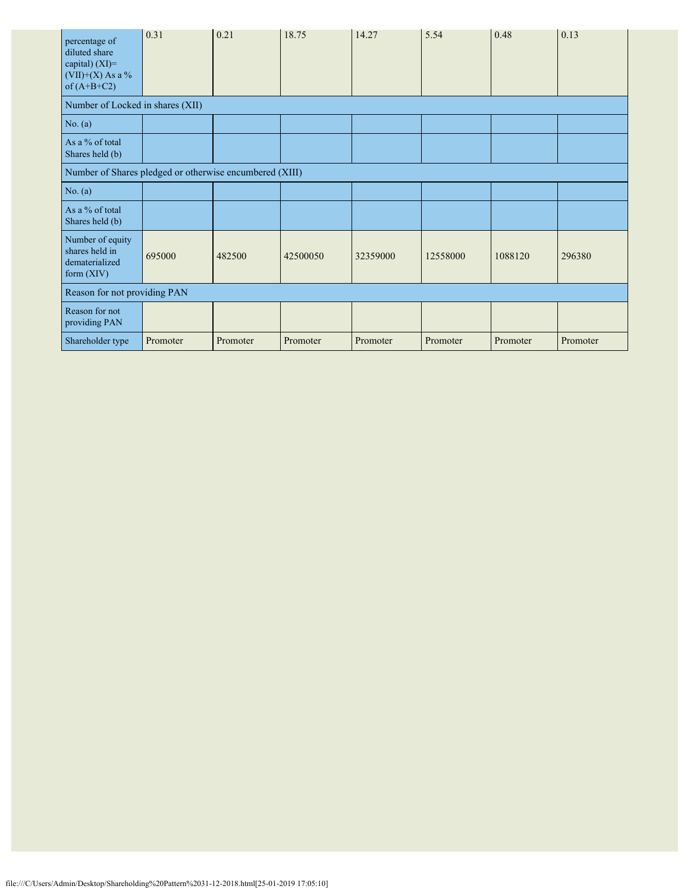| percentage of<br>diluted share<br>capital) $(XI)=$<br>$(VII)+(X)$ As a %<br>of $(A+B+C2)$ | 0.31     | 0.21     | 18.75    | 14.27    | 5.54     | 0.48     | 0.13     |
|-------------------------------------------------------------------------------------------|----------|----------|----------|----------|----------|----------|----------|
| Number of Locked in shares (XII)                                                          |          |          |          |          |          |          |          |
| No. (a)                                                                                   |          |          |          |          |          |          |          |
| As a % of total<br>Shares held (b)                                                        |          |          |          |          |          |          |          |
| Number of Shares pledged or otherwise encumbered (XIII)                                   |          |          |          |          |          |          |          |
| No. (a)                                                                                   |          |          |          |          |          |          |          |
| As a % of total<br>Shares held (b)                                                        |          |          |          |          |          |          |          |
| Number of equity<br>shares held in<br>dematerialized<br>form $(XIV)$                      | 695000   | 482500   | 42500050 | 32359000 | 12558000 | 1088120  | 296380   |
| Reason for not providing PAN                                                              |          |          |          |          |          |          |          |
| Reason for not<br>providing PAN                                                           |          |          |          |          |          |          |          |
| Shareholder type                                                                          | Promoter | Promoter | Promoter | Promoter | Promoter | Promoter | Promoter |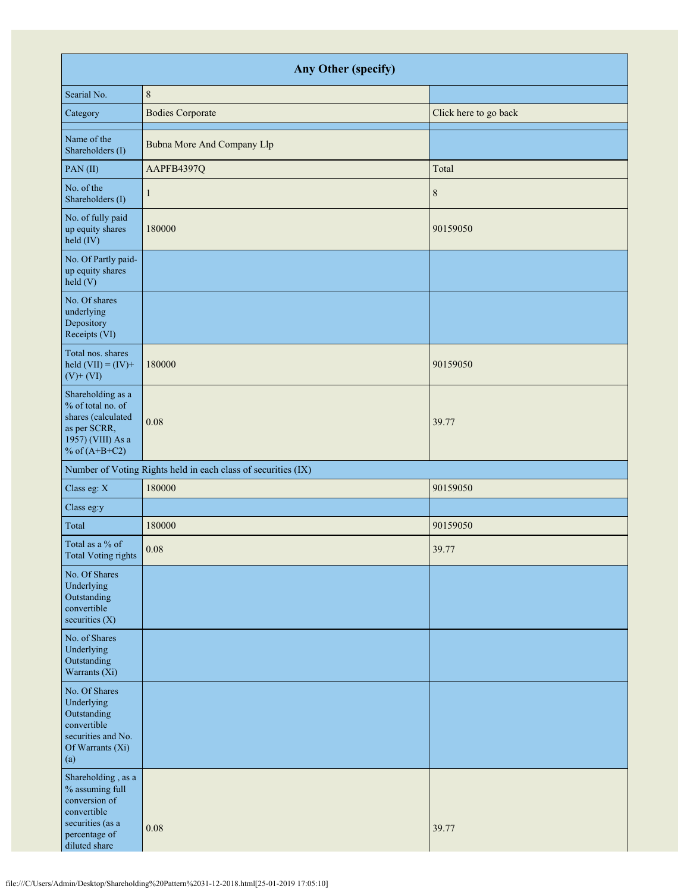| Any Other (specify)                                                                                                         |                                                               |                       |  |  |  |  |  |
|-----------------------------------------------------------------------------------------------------------------------------|---------------------------------------------------------------|-----------------------|--|--|--|--|--|
| Searial No.                                                                                                                 | $\,8\,$                                                       |                       |  |  |  |  |  |
| Category                                                                                                                    | <b>Bodies Corporate</b>                                       | Click here to go back |  |  |  |  |  |
| Name of the<br>Shareholders (I)                                                                                             | Bubna More And Company Llp                                    |                       |  |  |  |  |  |
| PAN(II)                                                                                                                     | AAPFB4397Q                                                    | Total                 |  |  |  |  |  |
| No. of the<br>Shareholders (I)                                                                                              | 1                                                             | $8\,$                 |  |  |  |  |  |
| No. of fully paid<br>up equity shares<br>held (IV)                                                                          | 180000                                                        | 90159050              |  |  |  |  |  |
| No. Of Partly paid-<br>up equity shares<br>held(V)                                                                          |                                                               |                       |  |  |  |  |  |
| No. Of shares<br>underlying<br>Depository<br>Receipts (VI)                                                                  |                                                               |                       |  |  |  |  |  |
| Total nos. shares<br>held $(VII) = (IV) +$<br>$(V)$ + $(VI)$                                                                | 180000                                                        | 90159050              |  |  |  |  |  |
| Shareholding as a<br>% of total no. of<br>shares (calculated<br>as per SCRR,<br>1957) (VIII) As a<br>% of $(A+B+C2)$        | 0.08                                                          | 39.77                 |  |  |  |  |  |
|                                                                                                                             | Number of Voting Rights held in each class of securities (IX) |                       |  |  |  |  |  |
| Class eg: X                                                                                                                 | 180000                                                        | 90159050              |  |  |  |  |  |
| Class eg:y                                                                                                                  |                                                               |                       |  |  |  |  |  |
| Total                                                                                                                       | 180000                                                        | 90159050              |  |  |  |  |  |
| Total as a % of<br>Total Voting rights                                                                                      | 0.08                                                          | 39.77                 |  |  |  |  |  |
| No. Of Shares<br>Underlying<br>Outstanding<br>convertible<br>securities $(X)$                                               |                                                               |                       |  |  |  |  |  |
| No. of Shares<br>Underlying<br>Outstanding<br>Warrants (Xi)                                                                 |                                                               |                       |  |  |  |  |  |
| No. Of Shares<br>Underlying<br>Outstanding<br>convertible<br>securities and No.<br>Of Warrants (Xi)<br>(a)                  |                                                               |                       |  |  |  |  |  |
| Shareholding, as a<br>% assuming full<br>conversion of<br>convertible<br>securities (as a<br>percentage of<br>diluted share | 0.08                                                          | 39.77                 |  |  |  |  |  |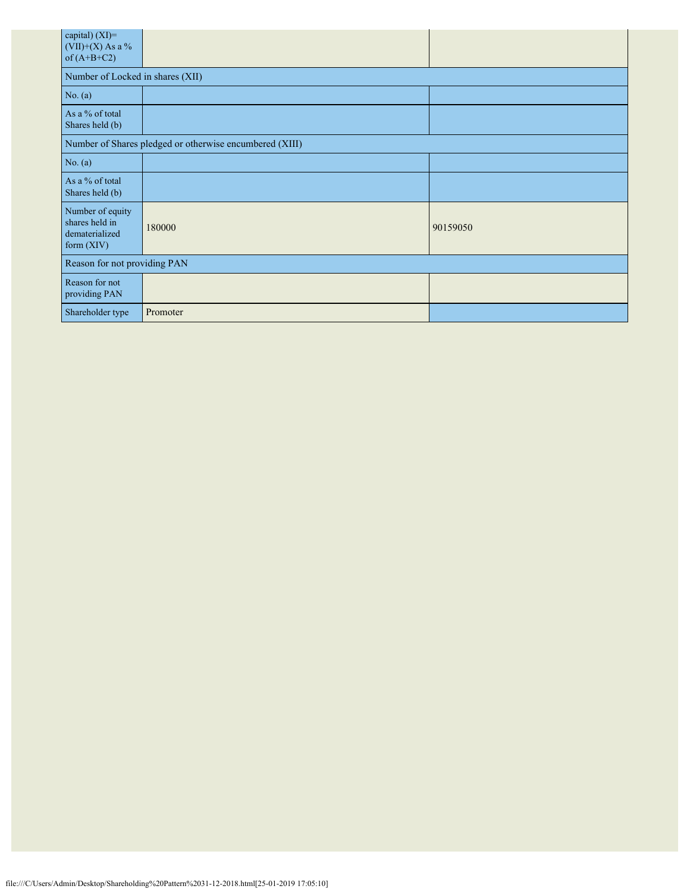| capital) (XI)=<br>$(VII)+(X)$ As a %<br>of $(A+B+C2)$                |          |          |  |  |  |  |  |  |
|----------------------------------------------------------------------|----------|----------|--|--|--|--|--|--|
| Number of Locked in shares (XII)                                     |          |          |  |  |  |  |  |  |
| No. (a)                                                              |          |          |  |  |  |  |  |  |
| As a % of total<br>Shares held (b)                                   |          |          |  |  |  |  |  |  |
| Number of Shares pledged or otherwise encumbered (XIII)              |          |          |  |  |  |  |  |  |
| No. $(a)$                                                            |          |          |  |  |  |  |  |  |
| As a % of total<br>Shares held (b)                                   |          |          |  |  |  |  |  |  |
| Number of equity<br>shares held in<br>dematerialized<br>form $(XIV)$ | 180000   | 90159050 |  |  |  |  |  |  |
| Reason for not providing PAN                                         |          |          |  |  |  |  |  |  |
| Reason for not<br>providing PAN                                      |          |          |  |  |  |  |  |  |
| Shareholder type                                                     | Promoter |          |  |  |  |  |  |  |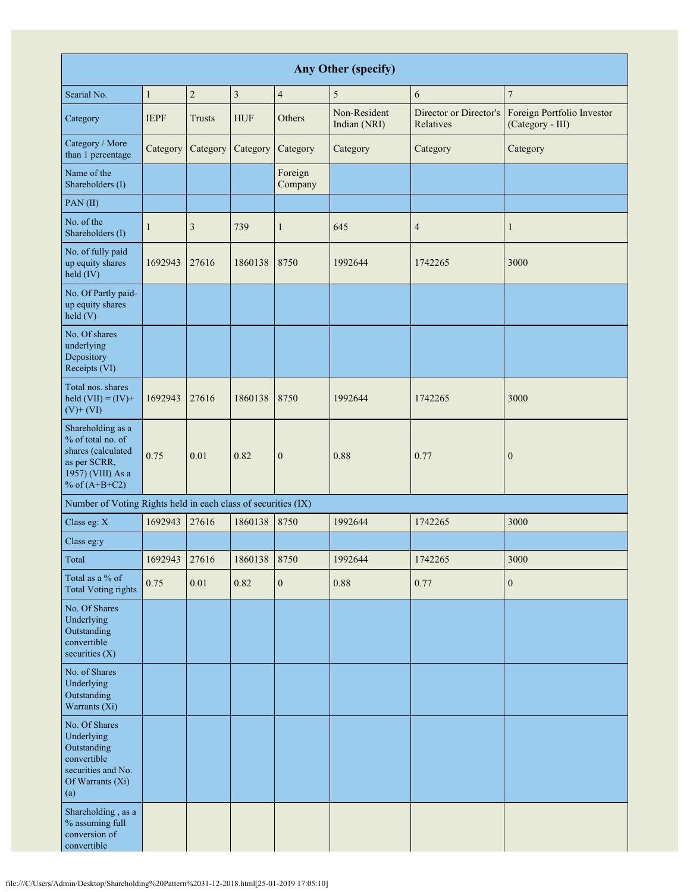| <b>Any Other (specify)</b>                                                                                           |              |                |                         |                    |                              |                                     |                                                |
|----------------------------------------------------------------------------------------------------------------------|--------------|----------------|-------------------------|--------------------|------------------------------|-------------------------------------|------------------------------------------------|
| Searial No.                                                                                                          | $\mathbf{1}$ | $\overline{c}$ | $\overline{\mathbf{3}}$ | $\overline{4}$     | $\sqrt{5}$                   | 6                                   | $\overline{7}$                                 |
| Category                                                                                                             | <b>IEPF</b>  | <b>Trusts</b>  | <b>HUF</b>              | Others             | Non-Resident<br>Indian (NRI) | Director or Director's<br>Relatives | Foreign Portfolio Investor<br>(Category - III) |
| Category / More<br>than 1 percentage                                                                                 | Category     | Category       | Category                | Category           | Category                     | Category                            | Category                                       |
| Name of the<br>Shareholders (I)                                                                                      |              |                |                         | Foreign<br>Company |                              |                                     |                                                |
| PAN(II)                                                                                                              |              |                |                         |                    |                              |                                     |                                                |
| No. of the<br>Shareholders (I)                                                                                       | 1            | 3              | 739                     | $\mathbf{1}$       | 645                          | $\overline{4}$                      | $\mathbf{1}$                                   |
| No. of fully paid<br>up equity shares<br>held (IV)                                                                   | 1692943      | 27616          | 1860138                 | 8750               | 1992644                      | 1742265                             | 3000                                           |
| No. Of Partly paid-<br>up equity shares<br>held(V)                                                                   |              |                |                         |                    |                              |                                     |                                                |
| No. Of shares<br>underlying<br>Depository<br>Receipts (VI)                                                           |              |                |                         |                    |                              |                                     |                                                |
| Total nos. shares<br>held $(VII) = (IV) +$<br>$(V)$ + $(VI)$                                                         | 1692943      | 27616          | 1860138                 | 8750               | 1992644                      | 1742265                             | 3000                                           |
| Shareholding as a<br>% of total no. of<br>shares (calculated<br>as per SCRR,<br>1957) (VIII) As a<br>% of $(A+B+C2)$ | 0.75         | 0.01           | 0.82                    | $\overline{0}$     | 0.88                         | 0.77                                | $\boldsymbol{0}$                               |
| Number of Voting Rights held in each class of securities (IX)                                                        |              |                |                         |                    |                              |                                     |                                                |
| Class eg: X                                                                                                          | 1692943      | 27616          | 1860138                 | 8750               | 1992644                      | 1742265                             | 3000                                           |
| Class eg:y                                                                                                           |              |                |                         |                    |                              |                                     |                                                |
| Total                                                                                                                | 1692943      | 27616          | 1860138                 | 8750               | 1992644                      | 1742265                             | 3000                                           |
| Total as a % of<br><b>Total Voting rights</b>                                                                        | 0.75         | $0.01\,$       | 0.82                    | $\boldsymbol{0}$   | 0.88                         | 0.77                                | $\boldsymbol{0}$                               |
| No. Of Shares<br>Underlying<br>Outstanding<br>convertible<br>securities $(X)$                                        |              |                |                         |                    |                              |                                     |                                                |
| No. of Shares<br>Underlying<br>Outstanding<br>Warrants (Xi)                                                          |              |                |                         |                    |                              |                                     |                                                |
| No. Of Shares<br>Underlying<br>Outstanding<br>convertible<br>securities and No.<br>Of Warrants (Xi)<br>(a)           |              |                |                         |                    |                              |                                     |                                                |
| Shareholding, as a<br>% assuming full<br>conversion of<br>convertible                                                |              |                |                         |                    |                              |                                     |                                                |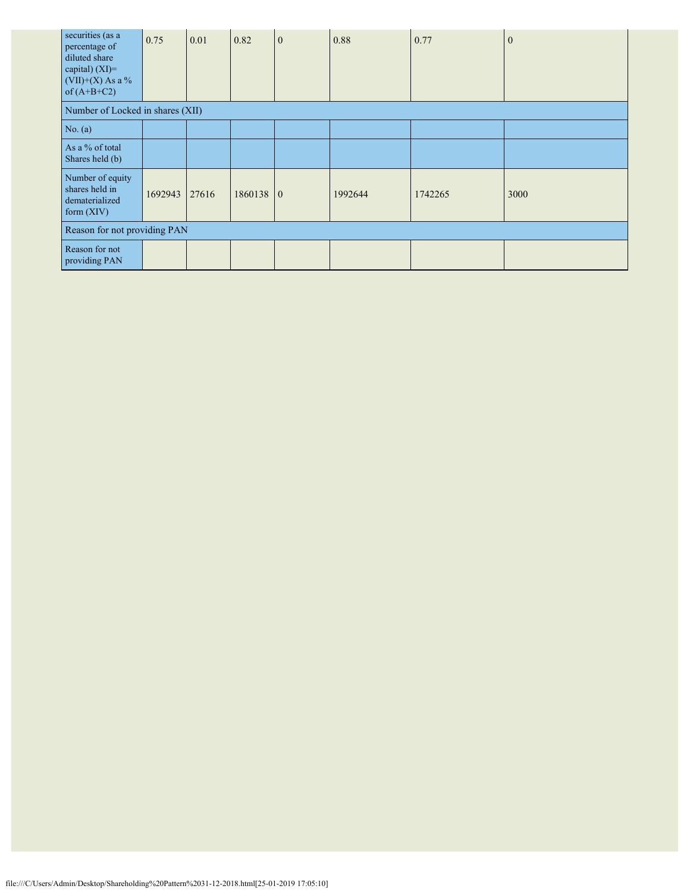| securities (as a<br>percentage of<br>diluted share<br>capital) $(XI)=$<br>$(VII)+(X)$ As a %<br>of $(A+B+C2)$ | 0.75    | 0.01  | 0.82      | $\overline{0}$ | 0.88    | 0.77    | $\mathbf{0}$ |
|---------------------------------------------------------------------------------------------------------------|---------|-------|-----------|----------------|---------|---------|--------------|
| Number of Locked in shares (XII)                                                                              |         |       |           |                |         |         |              |
| No. (a)                                                                                                       |         |       |           |                |         |         |              |
| As a % of total<br>Shares held (b)                                                                            |         |       |           |                |         |         |              |
| Number of equity<br>shares held in<br>dematerialized<br>form $(XIV)$                                          | 1692943 | 27616 | 1860138 0 |                | 1992644 | 1742265 | 3000         |
| Reason for not providing PAN                                                                                  |         |       |           |                |         |         |              |
| Reason for not<br>providing PAN                                                                               |         |       |           |                |         |         |              |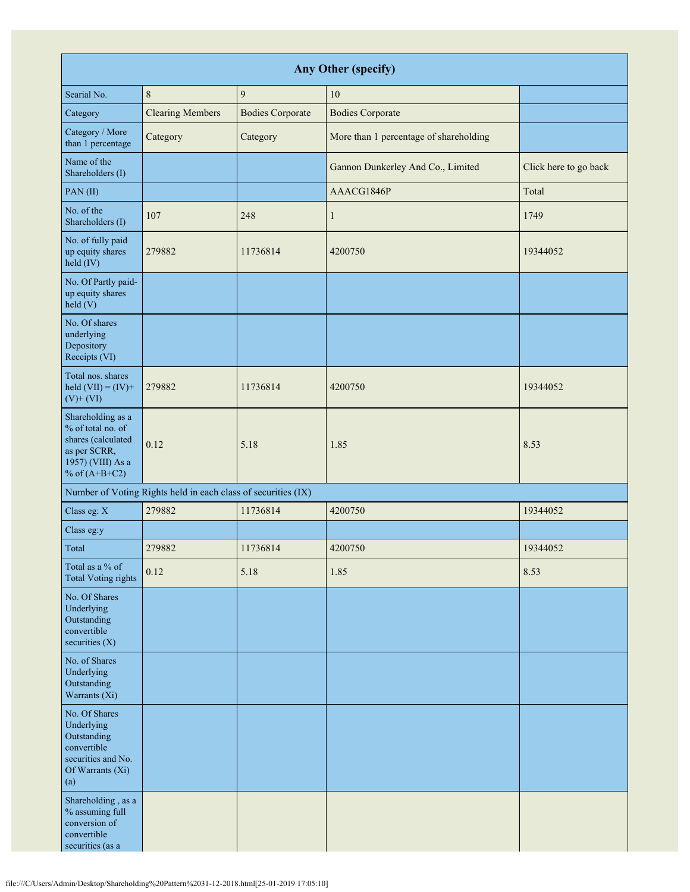| Any Other (specify)                                                                                                  |                                                               |                         |                                        |                       |  |  |  |  |
|----------------------------------------------------------------------------------------------------------------------|---------------------------------------------------------------|-------------------------|----------------------------------------|-----------------------|--|--|--|--|
| Searial No.                                                                                                          | $\,8\,$                                                       | $\overline{9}$          | 10                                     |                       |  |  |  |  |
| Category                                                                                                             | <b>Clearing Members</b>                                       | <b>Bodies Corporate</b> | <b>Bodies Corporate</b>                |                       |  |  |  |  |
| Category / More<br>than 1 percentage                                                                                 | Category                                                      | Category                | More than 1 percentage of shareholding |                       |  |  |  |  |
| Name of the<br>Shareholders (I)                                                                                      |                                                               |                         | Gannon Dunkerley And Co., Limited      | Click here to go back |  |  |  |  |
| PAN(II)                                                                                                              |                                                               |                         | AAACG1846P                             | Total                 |  |  |  |  |
| No. of the<br>Shareholders (I)                                                                                       | 107                                                           | 248                     | $\mathbf{1}$                           | 1749                  |  |  |  |  |
| No. of fully paid<br>up equity shares<br>held (IV)                                                                   | 279882                                                        | 11736814                | 4200750                                | 19344052              |  |  |  |  |
| No. Of Partly paid-<br>up equity shares<br>$\text{held}$ (V)                                                         |                                                               |                         |                                        |                       |  |  |  |  |
| No. Of shares<br>underlying<br>Depository<br>Receipts (VI)                                                           |                                                               |                         |                                        |                       |  |  |  |  |
| Total nos. shares<br>held $(VII) = (IV) +$<br>$(V)$ + $(VI)$                                                         | 279882                                                        | 11736814                | 4200750                                | 19344052              |  |  |  |  |
| Shareholding as a<br>% of total no. of<br>shares (calculated<br>as per SCRR,<br>1957) (VIII) As a<br>% of $(A+B+C2)$ | 0.12                                                          | 5.18                    | 1.85                                   | 8.53                  |  |  |  |  |
|                                                                                                                      | Number of Voting Rights held in each class of securities (IX) |                         |                                        |                       |  |  |  |  |
| Class eg: X                                                                                                          | 279882                                                        | 11736814                | 4200750                                | 19344052              |  |  |  |  |
| Class eg:y                                                                                                           |                                                               |                         |                                        |                       |  |  |  |  |
| Total                                                                                                                | 279882                                                        | 11736814                | 4200750                                | 19344052              |  |  |  |  |
| Total as a % of<br><b>Total Voting rights</b>                                                                        | 0.12                                                          | 5.18                    | 1.85                                   | 8.53                  |  |  |  |  |
| No. Of Shares<br>Underlying<br>Outstanding<br>convertible<br>securities $(X)$                                        |                                                               |                         |                                        |                       |  |  |  |  |
| No. of Shares<br>Underlying<br>Outstanding<br>Warrants (Xi)                                                          |                                                               |                         |                                        |                       |  |  |  |  |
| No. Of Shares<br>Underlying<br>Outstanding<br>convertible<br>securities and No.<br>Of Warrants (Xi)<br>(a)           |                                                               |                         |                                        |                       |  |  |  |  |
| Shareholding, as a<br>% assuming full<br>conversion of<br>convertible<br>securities (as a                            |                                                               |                         |                                        |                       |  |  |  |  |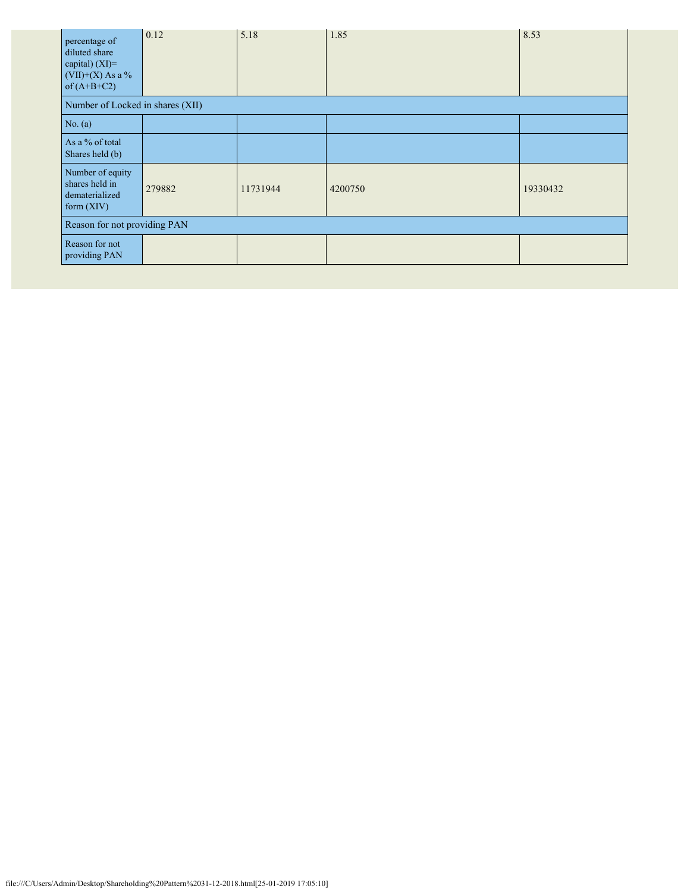| percentage of<br>diluted share<br>capital) (XI)=<br>$(VII)+(X)$ As a %<br>of $(A+B+C2)$ | 0.12   | 5.18     | 1.85    | 8.53     |  |  |
|-----------------------------------------------------------------------------------------|--------|----------|---------|----------|--|--|
| Number of Locked in shares (XII)                                                        |        |          |         |          |  |  |
| No. (a)                                                                                 |        |          |         |          |  |  |
| As a % of total<br>Shares held (b)                                                      |        |          |         |          |  |  |
| Number of equity<br>shares held in<br>dematerialized<br>form (XIV)                      | 279882 | 11731944 | 4200750 | 19330432 |  |  |
| Reason for not providing PAN                                                            |        |          |         |          |  |  |
| Reason for not<br>providing PAN                                                         |        |          |         |          |  |  |